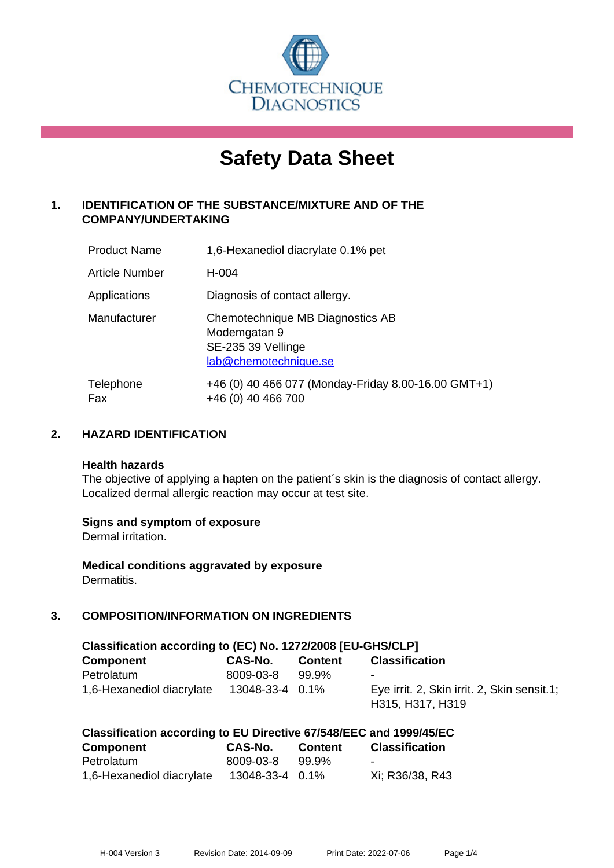

# **Safety Data Sheet**

# **1. IDENTIFICATION OF THE SUBSTANCE/MIXTURE AND OF THE COMPANY/UNDERTAKING**

| <b>Product Name</b> | 1,6-Hexanediol diacrylate 0.1% pet                                                              |
|---------------------|-------------------------------------------------------------------------------------------------|
| Article Number      | H-004                                                                                           |
| Applications        | Diagnosis of contact allergy.                                                                   |
| Manufacturer        | Chemotechnique MB Diagnostics AB<br>Modemgatan 9<br>SE-235 39 Vellinge<br>lab@chemotechnique.se |
| Telephone<br>Fax    | +46 (0) 40 466 077 (Monday-Friday 8.00-16.00 GMT+1)<br>+46 (0) 40 466 700                       |

## **2. HAZARD IDENTIFICATION**

#### **Health hazards**

The objective of applying a hapten on the patient's skin is the diagnosis of contact allergy. Localized dermal allergic reaction may occur at test site.

## **Signs and symptom of exposure**

Dermal irritation.

**Medical conditions aggravated by exposure** Dermatitis.

# **3. COMPOSITION/INFORMATION ON INGREDIENTS**

| Classification according to (EC) No. 1272/2008 [EU-GHS/CLP] |                 |                |                                                                 |  |  |
|-------------------------------------------------------------|-----------------|----------------|-----------------------------------------------------------------|--|--|
| <b>Component</b>                                            | CAS-No.         | <b>Content</b> | <b>Classification</b>                                           |  |  |
| Petrolatum                                                  | 8009-03-8       | 99.9%          | $\blacksquare$                                                  |  |  |
| 1,6-Hexanediol diacrylate                                   | 13048-33-4 0.1% |                | Eye irrit. 2, Skin irrit. 2, Skin sensit.1;<br>H315, H317, H319 |  |  |

| Classification according to EU Directive 67/548/EEC and 1999/45/EC |                 |                |                       |  |  |
|--------------------------------------------------------------------|-----------------|----------------|-----------------------|--|--|
| Component                                                          | CAS-No.         | <b>Content</b> | <b>Classification</b> |  |  |
| Petrolatum                                                         | 8009-03-8       | .99.9%         | $\sim$                |  |  |
| 1,6-Hexanediol diacrylate                                          | 13048-33-4 0.1% |                | Xi; R36/38, R43       |  |  |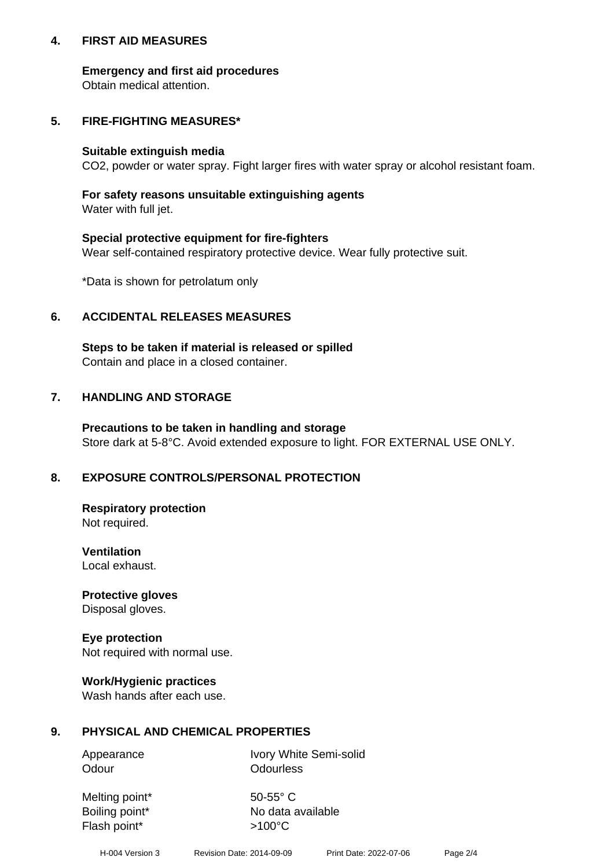## **4. FIRST AID MEASURES**

## **Emergency and first aid procedures**

Obtain medical attention.

# **5. FIRE-FIGHTING MEASURES\***

#### **Suitable extinguish media**

CO2, powder or water spray. Fight larger fires with water spray or alcohol resistant foam.

# **For safety reasons unsuitable extinguishing agents**

Water with full jet.

## **Special protective equipment for fire-fighters**

Wear self-contained respiratory protective device. Wear fully protective suit.

\*Data is shown for petrolatum only

## **6. ACCIDENTAL RELEASES MEASURES**

**Steps to be taken if material is released or spilled** Contain and place in a closed container.

# **7. HANDLING AND STORAGE**

**Precautions to be taken in handling and storage** Store dark at 5-8°C. Avoid extended exposure to light. FOR EXTERNAL USE ONLY.

# **8. EXPOSURE CONTROLS/PERSONAL PROTECTION**

**Respiratory protection** Not required.

**Ventilation** Local exhaust.

**Protective gloves** Disposal gloves.

#### **Eye protection** Not required with normal use.

## **Work/Hygienic practices**

Wash hands after each use.

## **9. PHYSICAL AND CHEMICAL PROPERTIES**

Odour **Odourless** 

Appearance Ivory White Semi-solid

Melting point\* 50-55° C Flash point\*  $>100^{\circ}$ C

Boiling point\* No data available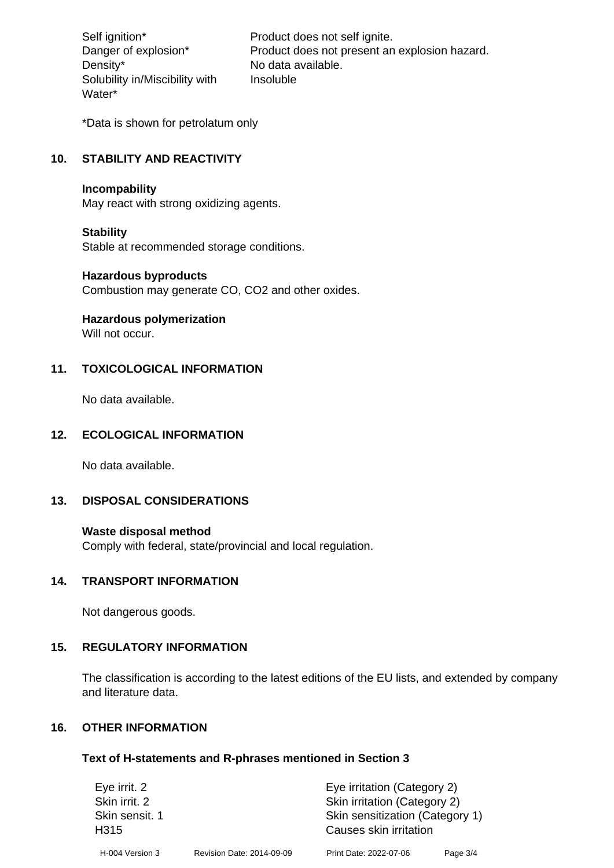Density\* No data available. Solubility in/Miscibility with Water\*

Self ignition\* Product does not self ignite. Danger of explosion\* Product does not present an explosion hazard. Insoluble

\*Data is shown for petrolatum only

# **10. STABILITY AND REACTIVITY**

#### **Incompability**

May react with strong oxidizing agents.

#### **Stability**

Stable at recommended storage conditions.

#### **Hazardous byproducts**

Combustion may generate CO, CO2 and other oxides.

**Hazardous polymerization**

Will not occur.

## **11. TOXICOLOGICAL INFORMATION**

No data available.

## **12. ECOLOGICAL INFORMATION**

No data available.

## **13. DISPOSAL CONSIDERATIONS**

#### **Waste disposal method**

Comply with federal, state/provincial and local regulation.

#### **14. TRANSPORT INFORMATION**

Not dangerous goods.

## **15. REGULATORY INFORMATION**

The classification is according to the latest editions of the EU lists, and extended by company and literature data.

#### **16. OTHER INFORMATION**

#### **Text of H-statements and R-phrases mentioned in Section 3**

| Eye irrit. 2                       |                           | Eye irritation (Category 2)                               |          |  |
|------------------------------------|---------------------------|-----------------------------------------------------------|----------|--|
| Skin irrit. 2                      |                           | Skin irritation (Category 2)                              |          |  |
| Skin sensit. 1<br>H <sub>315</sub> |                           | Skin sensitization (Category 1)<br>Causes skin irritation |          |  |
| H-004 Version 3                    | Revision Date: 2014-09-09 | Print Date: 2022-07-06                                    | Page 3/4 |  |